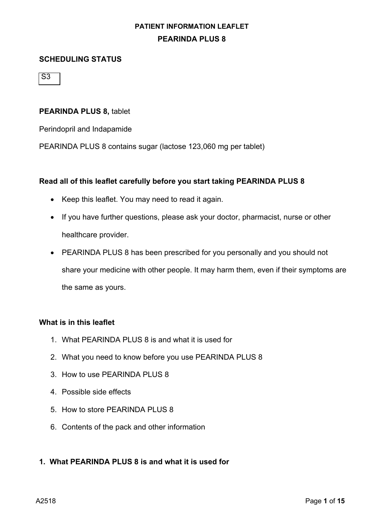#### **SCHEDULING STATUS**

S3

#### **PEARINDA PLUS 8,** tablet

Perindopril and Indapamide

PEARINDA PLUS 8 contains sugar (lactose 123,060 mg per tablet)

#### **Read all of this leaflet carefully before you start taking PEARINDA PLUS 8**

- Keep this leaflet. You may need to read it again.
- If you have further questions, please ask your doctor, pharmacist, nurse or other healthcare provider.
- PEARINDA PLUS 8 has been prescribed for you personally and you should not share your medicine with other people. It may harm them, even if their symptoms are the same as yours.

#### **What is in this leaflet**

- 1. What PEARINDA PLUS 8 is and what it is used for
- 2. What you need to know before you use PEARINDA PLUS 8
- 3. How to use PEARINDA PLUS 8
- 4. Possible side effects
- 5. How to store PEARINDA PLUS 8
- 6. Contents of the pack and other information

#### **1. What PEARINDA PLUS 8 is and what it is used for**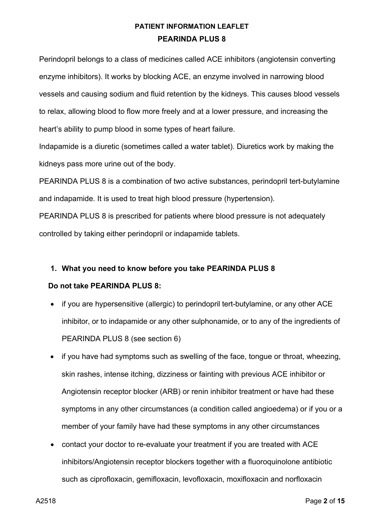Perindopril belongs to a class of medicines called ACE inhibitors (angiotensin converting enzyme inhibitors). It works by blocking ACE, an enzyme involved in narrowing blood vessels and causing sodium and fluid retention by the kidneys. This causes blood vessels to relax, allowing blood to flow more freely and at a lower pressure, and increasing the heart's ability to pump blood in some types of heart failure.

Indapamide is a diuretic (sometimes called a water tablet). Diuretics work by making the kidneys pass more urine out of the body.

PEARINDA PLUS 8 is a combination of two active substances, perindopril tert-butylamine and indapamide. It is used to treat high blood pressure (hypertension).

PEARINDA PLUS 8 is prescribed for patients where blood pressure is not adequately controlled by taking either perindopril or indapamide tablets.

### **1. What you need to know before you take PEARINDA PLUS 8**

### **Do not take PEARINDA PLUS 8:**

- if you are hypersensitive (allergic) to perindopril tert-butylamine, or any other ACE inhibitor, or to indapamide or any other sulphonamide, or to any of the ingredients of PEARINDA PLUS 8 (see section 6)
- if you have had symptoms such as swelling of the face, tongue or throat, wheezing, skin rashes, intense itching, dizziness or fainting with previous ACE inhibitor or Angiotensin receptor blocker (ARB) or renin inhibitor treatment or have had these symptoms in any other circumstances (a condition called angioedema) or if you or a member of your family have had these symptoms in any other circumstances
- contact your doctor to re-evaluate your treatment if you are treated with ACE inhibitors/Angiotensin receptor blockers together with a fluoroquinolone antibiotic such as ciprofloxacin, gemifloxacin, levofloxacin, moxifloxacin and norfloxacin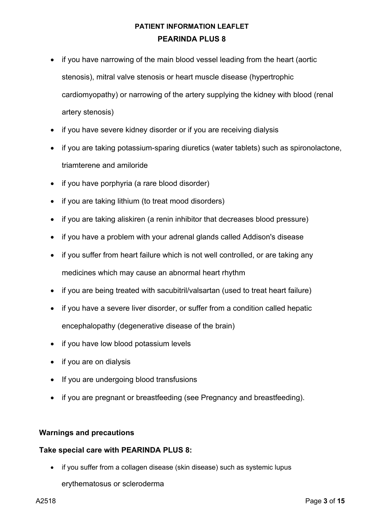- if you have narrowing of the main blood vessel leading from the heart (aortic stenosis), mitral valve stenosis or heart muscle disease (hypertrophic cardiomyopathy) or narrowing of the artery supplying the kidney with blood (renal artery stenosis)
- if you have severe kidney disorder or if you are receiving dialysis
- if you are taking potassium-sparing diuretics (water tablets) such as spironolactone, triamterene and amiloride
- if you have porphyria (a rare blood disorder)
- if you are taking lithium (to treat mood disorders)
- if you are taking aliskiren (a renin inhibitor that decreases blood pressure)
- if you have a problem with your adrenal glands called Addison's disease
- if you suffer from heart failure which is not well controlled, or are taking any medicines which may cause an abnormal heart rhythm
- if you are being treated with sacubitril/valsartan (used to treat heart failure)
- if you have a severe liver disorder, or suffer from a condition called hepatic encephalopathy (degenerative disease of the brain)
- if you have low blood potassium levels
- if you are on dialysis
- If you are undergoing blood transfusions
- if you are pregnant or breastfeeding (see Pregnancy and breastfeeding).

#### **Warnings and precautions**

#### **Take special care with PEARINDA PLUS 8:**

• if you suffer from a collagen disease (skin disease) such as systemic lupus erythematosus or scleroderma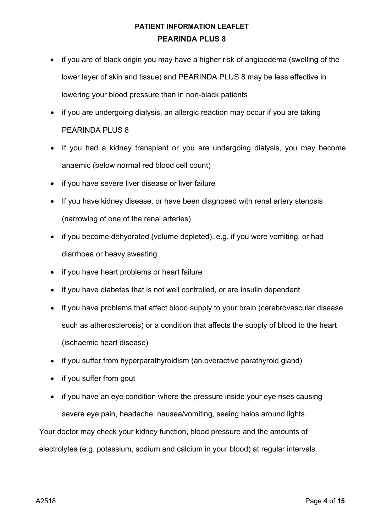- if you are of black origin you may have a higher risk of angioedema (swelling of the lower layer of skin and tissue) and PEARINDA PLUS 8 may be less effective in lowering your blood pressure than in non-black patients
- if you are undergoing dialysis, an allergic reaction may occur if you are taking PEARINDA PLUS 8
- If you had a kidney transplant or you are undergoing dialysis, you may become anaemic (below normal red blood cell count)
- if you have severe liver disease or liver failure
- If you have kidney disease, or have been diagnosed with renal artery stenosis (narrowing of one of the renal arteries)
- if you become dehydrated (volume depleted), e.g. if you were vomiting, or had diarrhoea or heavy sweating
- if you have heart problems or heart failure
- if you have diabetes that is not well controlled, or are insulin dependent
- if you have problems that affect blood supply to your brain (cerebrovascular disease such as atherosclerosis) or a condition that affects the supply of blood to the heart (ischaemic heart disease)
- if you suffer from hyperparathyroidism (an overactive parathyroid gland)
- if you suffer from gout
- if you have an eye condition where the pressure inside your eye rises causing severe eye pain, headache, nausea/vomiting, seeing halos around lights.

Your doctor may check your kidney function, blood pressure and the amounts of electrolytes (e.g. potassium, sodium and calcium in your blood) at regular intervals.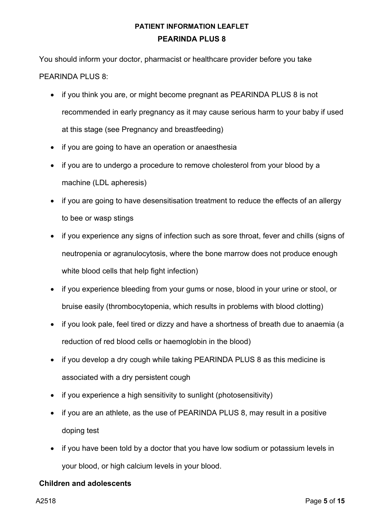You should inform your doctor, pharmacist or healthcare provider before you take PEARINDA PLUS 8:

- if you think you are, or might become pregnant as PEARINDA PLUS 8 is not recommended in early pregnancy as it may cause serious harm to your baby if used at this stage (see Pregnancy and breastfeeding)
- if you are going to have an operation or anaesthesia
- if you are to undergo a procedure to remove cholesterol from your blood by a machine (LDL apheresis)
- if you are going to have desensitisation treatment to reduce the effects of an allergy to bee or wasp stings
- if you experience any signs of infection such as sore throat, fever and chills (signs of neutropenia or agranulocytosis, where the bone marrow does not produce enough white blood cells that help fight infection)
- if you experience bleeding from your gums or nose, blood in your urine or stool, or bruise easily (thrombocytopenia, which results in problems with blood clotting)
- if you look pale, feel tired or dizzy and have a shortness of breath due to anaemia (a reduction of red blood cells or haemoglobin in the blood)
- if you develop a dry cough while taking PEARINDA PLUS 8 as this medicine is associated with a dry persistent cough
- if you experience a high sensitivity to sunlight (photosensitivity)
- if you are an athlete, as the use of PEARINDA PLUS 8, may result in a positive doping test
- if you have been told by a doctor that you have low sodium or potassium levels in your blood, or high calcium levels in your blood.

#### **Children and adolescents**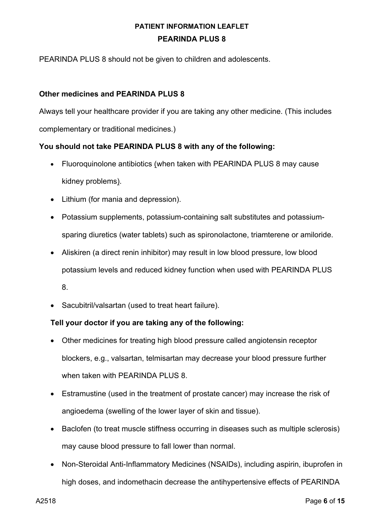PEARINDA PLUS 8 should not be given to children and adolescents.

### **Other medicines and PEARINDA PLUS 8**

Always tell your healthcare provider if you are taking any other medicine. (This includes complementary or traditional medicines.)

### **You should not take PEARINDA PLUS 8 with any of the following:**

- Fluoroquinolone antibiotics (when taken with PEARINDA PLUS 8 may cause kidney problems).
- Lithium (for mania and depression).
- Potassium supplements, potassium-containing salt substitutes and potassiumsparing diuretics (water tablets) such as spironolactone, triamterene or amiloride.
- Aliskiren (a direct renin inhibitor) may result in low blood pressure, low blood potassium levels and reduced kidney function when used with PEARINDA PLUS 8.
- Sacubitril/valsartan (used to treat heart failure).

### **Tell your doctor if you are taking any of the following:**

- Other medicines for treating high blood pressure called angiotensin receptor blockers, e.g., valsartan, telmisartan may decrease your blood pressure further when taken with PEARINDA PLUS 8.
- Estramustine (used in the treatment of prostate cancer) may increase the risk of angioedema (swelling of the lower layer of skin and tissue).
- Baclofen (to treat muscle stiffness occurring in diseases such as multiple sclerosis) may cause blood pressure to fall lower than normal.
- Non-Steroidal Anti-Inflammatory Medicines (NSAIDs), including aspirin, ibuprofen in high doses, and indomethacin decrease the antihypertensive effects of PEARINDA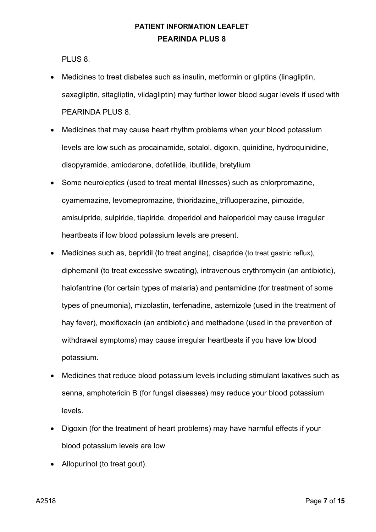PLUS 8.

- Medicines to treat diabetes such as insulin, metformin or gliptins (linagliptin, saxagliptin, sitagliptin, vildagliptin) may further lower blood sugar levels if used with PEARINDA PLUS 8.
- Medicines that may cause heart rhythm problems when your blood potassium levels are low such as procainamide, sotalol, digoxin, quinidine, hydroquinidine, disopyramide, amiodarone, dofetilide, ibutilide, bretylium
- Some neuroleptics (used to treat mental illnesses) such as chlorpromazine, cyamemazine, levomepromazine, thioridazine, trifluoperazine, pimozide, amisulpride, sulpiride, tiapiride, droperidol and haloperidol may cause irregular heartbeats if low blood potassium levels are present.
- Medicines such as, bepridil (to treat angina), cisapride (to treat gastric reflux), diphemanil (to treat excessive sweating), intravenous erythromycin (an antibiotic), halofantrine (for certain types of malaria) and pentamidine (for treatment of some types of pneumonia), mizolastin, terfenadine, astemizole (used in the treatment of hay fever), moxifloxacin (an antibiotic) and methadone (used in the prevention of withdrawal symptoms) may cause irregular heartbeats if you have low blood potassium.
- Medicines that reduce blood potassium levels including stimulant laxatives such as senna, amphotericin B (for fungal diseases) may reduce your blood potassium levels.
- Digoxin (for the treatment of heart problems) may have harmful effects if your blood potassium levels are low
- Allopurinol (to treat gout).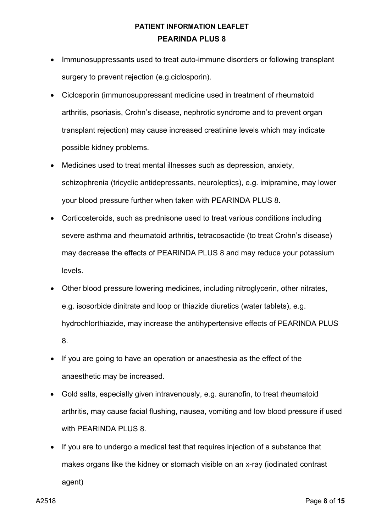- Immunosuppressants used to treat auto-immune disorders or following transplant surgery to prevent rejection (e.g.ciclosporin).
- Ciclosporin (immunosuppressant medicine used in treatment of rheumatoid arthritis, psoriasis, Crohn's disease, nephrotic syndrome and to prevent organ transplant rejection) may cause increased creatinine levels which may indicate possible kidney problems.
- Medicines used to treat mental illnesses such as depression, anxiety, schizophrenia (tricyclic antidepressants, neuroleptics), e.g. imipramine, may lower your blood pressure further when taken with PEARINDA PLUS 8.
- Corticosteroids, such as prednisone used to treat various conditions including severe asthma and rheumatoid arthritis, tetracosactide (to treat Crohn's disease) may decrease the effects of PEARINDA PLUS 8 and may reduce your potassium levels.
- Other blood pressure lowering medicines, including nitroglycerin, other nitrates, e.g. isosorbide dinitrate and loop or thiazide diuretics (water tablets), e.g. hydrochlorthiazide, may increase the antihypertensive effects of PEARINDA PLUS 8.
- If you are going to have an operation or anaesthesia as the effect of the anaesthetic may be increased.
- Gold salts, especially given intravenously, e.g. auranofin, to treat rheumatoid arthritis, may cause facial flushing, nausea, vomiting and low blood pressure if used with PEARINDA PLUS 8.
- If you are to undergo a medical test that requires injection of a substance that makes organs like the kidney or stomach visible on an x-ray (iodinated contrast agent)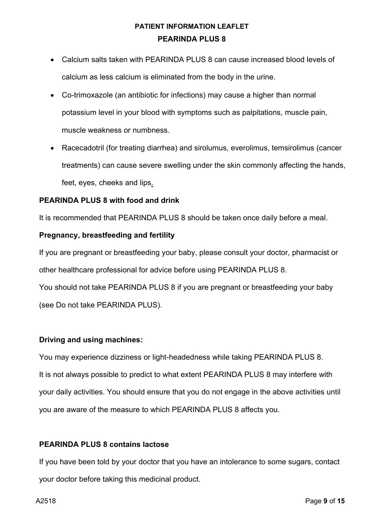- Calcium salts taken with PEARINDA PLUS 8 can cause increased blood levels of calcium as less calcium is eliminated from the body in the urine.
- Co-trimoxazole (an antibiotic for infections) may cause a higher than normal potassium level in your blood with symptoms such as palpitations, muscle pain, muscle weakness or numbness.
- Racecadotril (for treating diarrhea) and sirolumus, everolimus, temsirolimus (cancer treatments) can cause severe swelling under the skin commonly affecting the hands, feet, eyes, cheeks and lips.

### **PEARINDA PLUS 8 with food and drink**

It is recommended that PEARINDA PLUS 8 should be taken once daily before a meal.

#### **Pregnancy, breastfeeding and fertility**

If you are pregnant or breastfeeding your baby, please consult your doctor, pharmacist or other healthcare professional for advice before using PEARINDA PLUS 8.

You should not take PEARINDA PLUS 8 if you are pregnant or breastfeeding your baby (see Do not take PEARINDA PLUS).

### **Driving and using machines:**

You may experience dizziness or light-headedness while taking PEARINDA PLUS 8. It is not always possible to predict to what extent PEARINDA PLUS 8 may interfere with your daily activities. You should ensure that you do not engage in the above activities until you are aware of the measure to which PEARINDA PLUS 8 affects you.

#### **PEARINDA PLUS 8 contains lactose**

If you have been told by your doctor that you have an intolerance to some sugars, contact your doctor before taking this medicinal product.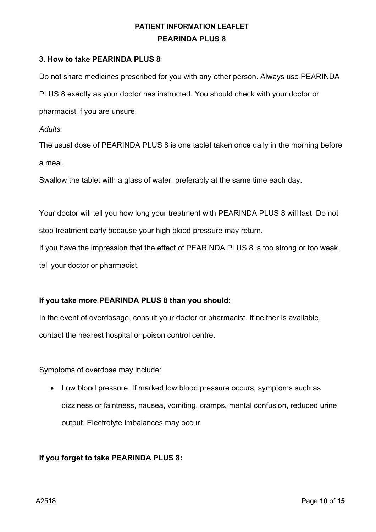#### **3. How to take PEARINDA PLUS 8**

Do not share medicines prescribed for you with any other person. Always use PEARINDA PLUS 8 exactly as your doctor has instructed. You should check with your doctor or

pharmacist if you are unsure.

*Adults:*

The usual dose of PEARINDA PLUS 8 is one tablet taken once daily in the morning before a meal.

Swallow the tablet with a glass of water, preferably at the same time each day.

Your doctor will tell you how long your treatment with PEARINDA PLUS 8 will last. Do not stop treatment early because your high blood pressure may return.

If you have the impression that the effect of PEARINDA PLUS 8 is too strong or too weak, tell your doctor or pharmacist.

### **If you take more PEARINDA PLUS 8 than you should:**

In the event of overdosage, consult your doctor or pharmacist. If neither is available, contact the nearest hospital or poison control centre.

Symptoms of overdose may include:

• Low blood pressure. If marked low blood pressure occurs, symptoms such as dizziness or faintness, nausea, vomiting, cramps, mental confusion, reduced urine output. Electrolyte imbalances may occur.

### **If you forget to take PEARINDA PLUS 8:**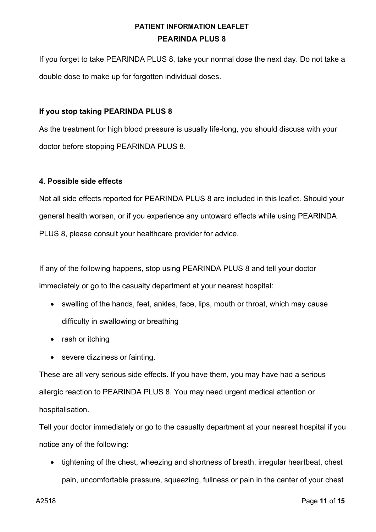If you forget to take PEARINDA PLUS 8, take your normal dose the next day. Do not take a double dose to make up for forgotten individual doses.

### **If you stop taking PEARINDA PLUS 8**

As the treatment for high blood pressure is usually life-long, you should discuss with your doctor before stopping PEARINDA PLUS 8.

### **4. Possible side effects**

Not all side effects reported for PEARINDA PLUS 8 are included in this leaflet. Should your general health worsen, or if you experience any untoward effects while using PEARINDA PLUS 8, please consult your healthcare provider for advice.

If any of the following happens, stop using PEARINDA PLUS 8 and tell your doctor immediately or go to the casualty department at your nearest hospital:

- swelling of the hands, feet, ankles, face, lips, mouth or throat, which may cause difficulty in swallowing or breathing
- rash or itching
- severe dizziness or fainting.

These are all very serious side effects. If you have them, you may have had a serious allergic reaction to PEARINDA PLUS 8. You may need urgent medical attention or hospitalisation.

Tell your doctor immediately or go to the casualty department at your nearest hospital if you notice any of the following:

• tightening of the chest, wheezing and shortness of breath, irregular heartbeat, chest pain, uncomfortable pressure, squeezing, fullness or pain in the center of your chest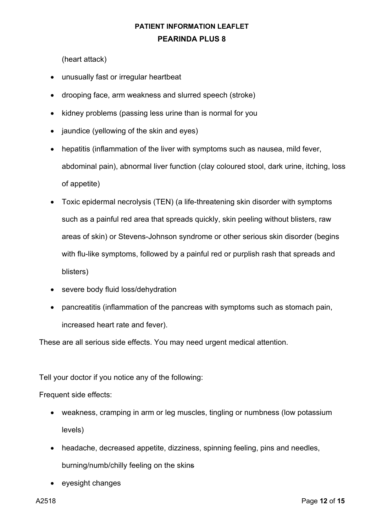(heart attack)

- unusually fast or irregular heartbeat
- drooping face, arm weakness and slurred speech (stroke)
- kidney problems (passing less urine than is normal for you
- jaundice (yellowing of the skin and eyes)
- hepatitis (inflammation of the liver with symptoms such as nausea, mild fever, abdominal pain), abnormal liver function (clay coloured stool, dark urine, itching, loss of appetite)
- Toxic epidermal necrolysis (TEN) (a life-threatening skin disorder with symptoms such as a painful red area that spreads quickly, skin peeling without blisters, raw areas of skin) or Stevens-Johnson syndrome or other serious skin disorder (begins with flu-like symptoms, followed by a painful red or purplish rash that spreads and blisters)
- severe body fluid loss/dehydration
- pancreatitis (inflammation of the pancreas with symptoms such as stomach pain, increased heart rate and fever).

These are all serious side effects. You may need urgent medical attention.

Tell your doctor if you notice any of the following:

Frequent side effects:

- weakness, cramping in arm or leg muscles, tingling or numbness (low potassium levels)
- headache, decreased appetite, dizziness, spinning feeling, pins and needles, burning/numb/chilly feeling on the skins
- eyesight changes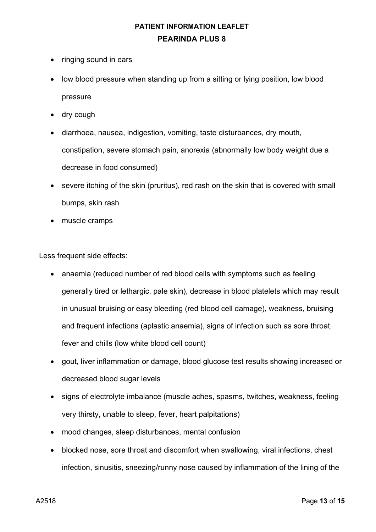- ringing sound in ears
- low blood pressure when standing up from a sitting or lying position, low blood pressure
- dry cough
- diarrhoea, nausea, indigestion, vomiting, taste disturbances, dry mouth, constipation, severe stomach pain, anorexia (abnormally low body weight due a decrease in food consumed)
- severe itching of the skin (pruritus), red rash on the skin that is covered with small bumps, skin rash
- muscle cramps

Less frequent side effects:

- anaemia (reduced number of red blood cells with symptoms such as feeling generally tired or lethargic, pale skin), decrease in blood platelets which may result in unusual bruising or easy bleeding (red blood cell damage), weakness, bruising and frequent infections (aplastic anaemia), signs of infection such as sore throat, fever and chills (low white blood cell count)
- gout, liver inflammation or damage, blood glucose test results showing increased or decreased blood sugar levels
- signs of electrolyte imbalance (muscle aches, spasms, twitches, weakness, feeling very thirsty, unable to sleep, fever, heart palpitations)
- mood changes, sleep disturbances, mental confusion
- blocked nose, sore throat and discomfort when swallowing, viral infections, chest infection, sinusitis, sneezing/runny nose caused by inflammation of the lining of the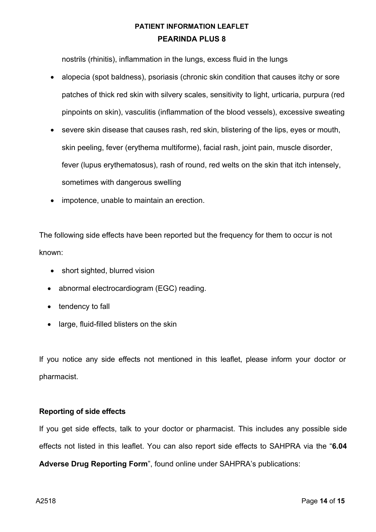nostrils (rhinitis), inflammation in the lungs, excess fluid in the lungs

- alopecia (spot baldness), psoriasis (chronic skin condition that causes itchy or sore patches of thick red skin with silvery scales, sensitivity to light, urticaria, purpura (red pinpoints on skin), vasculitis (inflammation of the blood vessels), excessive sweating
- severe skin disease that causes rash, red skin, blistering of the lips, eyes or mouth, skin peeling, fever (erythema multiforme), facial rash, joint pain, muscle disorder, fever (lupus erythematosus), rash of round, red welts on the skin that itch intensely, sometimes with dangerous swelling
- impotence, unable to maintain an erection.

The following side effects have been reported but the frequency for them to occur is not known:

- short sighted, blurred vision
- abnormal electrocardiogram (EGC) reading.
- tendency to fall
- large, fluid-filled blisters on the skin

If you notice any side effects not mentioned in this leaflet, please inform your doctor or pharmacist.

### **Reporting of side effects**

If you get side effects, talk to your doctor or pharmacist. This includes any possible side effects not listed in this leaflet. You can also report side effects to SAHPRA via the "**6.04** 

**Adverse Drug Reporting Form**", found online under SAHPRA's publications: